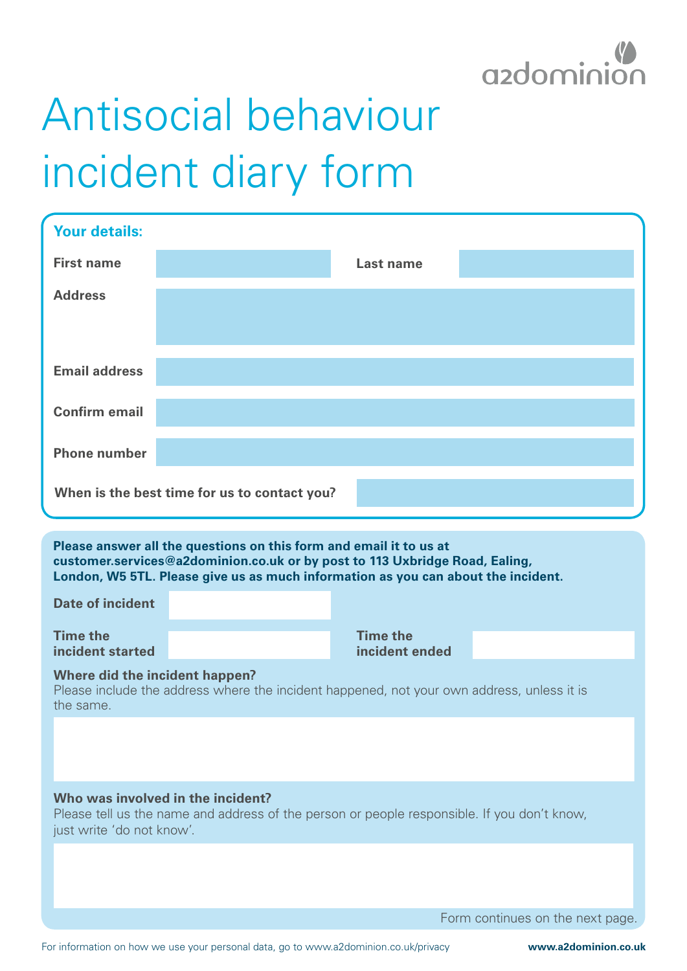

## Antisocial behaviour incident diary form

| <b>Your details:</b>                                                                                                                                                                                                                   |  |                                   |  |
|----------------------------------------------------------------------------------------------------------------------------------------------------------------------------------------------------------------------------------------|--|-----------------------------------|--|
| <b>First name</b>                                                                                                                                                                                                                      |  | <b>Last name</b>                  |  |
| <b>Address</b>                                                                                                                                                                                                                         |  |                                   |  |
|                                                                                                                                                                                                                                        |  |                                   |  |
| <b>Email address</b>                                                                                                                                                                                                                   |  |                                   |  |
| <b>Confirm email</b>                                                                                                                                                                                                                   |  |                                   |  |
| <b>Phone number</b>                                                                                                                                                                                                                    |  |                                   |  |
| When is the best time for us to contact you?                                                                                                                                                                                           |  |                                   |  |
| Please answer all the questions on this form and email it to us at<br>customer.services@a2dominion.co.uk or by post to 113 Uxbridge Road, Ealing,<br>London, W5 5TL. Please give us as much information as you can about the incident. |  |                                   |  |
| <b>Date of incident</b>                                                                                                                                                                                                                |  |                                   |  |
| <b>Time the</b><br>incident started                                                                                                                                                                                                    |  | <b>Time the</b><br>incident ended |  |
| Where did the incident happen?<br>Please include the address where the incident happened, not your own address, unless it is<br>the same.                                                                                              |  |                                   |  |
|                                                                                                                                                                                                                                        |  |                                   |  |
|                                                                                                                                                                                                                                        |  |                                   |  |

## **Who was involved in the incident?**

Please tell us the name and address of the person or people responsible. If you don't know, just write 'do not know'.

Form continues on the next page.